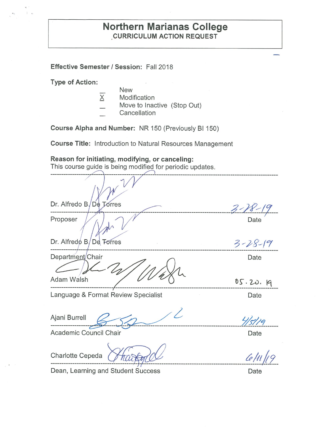## **Northern Marianas College CURRICULUM ACTION REQUEST**

**Effective Semester/ Session:** Fall 2018

**Type of Action:** 

- New X Modification
- Move to Inactive (Stop Out)
- **Cancellation**
- 

**Course Alpha and Number:** NR 150 (Previously Bl 150)

**Course Title:** Introduction to Natural Resources Management

## **Reason for initiating, modifying, or canceling:**

This course guide is being modified for periodic updates.

| Dr. Alfredo B/De Torres             | $3 - 18 - 19$ |
|-------------------------------------|---------------|
| Proposer                            | Date          |
| Dr. Alfredo B/De Torres             | $3 - 28 - 19$ |
| Department/Chair                    | Date          |
| Adam Walsh                          | 05.20.19      |
| Language & Format Review Specialist | Date          |
| Ajani Burrell                       |               |
| Academic Council Chair              | Date          |

Academic Council Chair **Date** 

Charlotte Cepeda

Dean, Learning and Student Success Date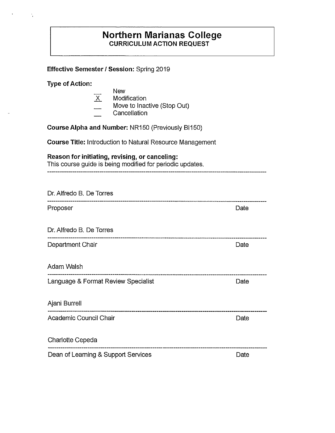## **Northern Marianas College CURRICULUM ACTION REQUEST**

**Effective Semester/ Session:** Spring 2019

**Type of Action:** 

Ŷ,

| $\overline{\mathsf{X}}$             | <b>New</b><br>Modification<br>Move to Inactive (Stop Out)<br>Cancellation                                          |      |
|-------------------------------------|--------------------------------------------------------------------------------------------------------------------|------|
|                                     | Course Alpha and Number: NR150 (Previously BI150)                                                                  |      |
|                                     | <b>Course Title: Introduction to Natural Resource Management</b>                                                   |      |
|                                     | Reason for initiating, revising, or canceling:<br>This course guide is being modified for periodic updates.        |      |
| Dr. Alfredo B. De Torres            |                                                                                                                    |      |
| Proposer                            | .<br>Na amin' na maint mana qui pe pe amin' pe amin' pe pe es pe pe es a es es terze el qui avez es es estes en ve | Date |
| Dr. Alfredo B. De Torres            |                                                                                                                    |      |
| Department Chair                    |                                                                                                                    | Date |
| Adam Walsh                          |                                                                                                                    |      |
| Language & Format Review Specialist |                                                                                                                    | Date |
| Ajani Burrell                       | -----------------------------------                                                                                |      |
| Academic Council Chair              |                                                                                                                    | Date |
| <b>Charlotte Cepeda</b>             |                                                                                                                    |      |
| Dean of Learning & Support Services |                                                                                                                    | Date |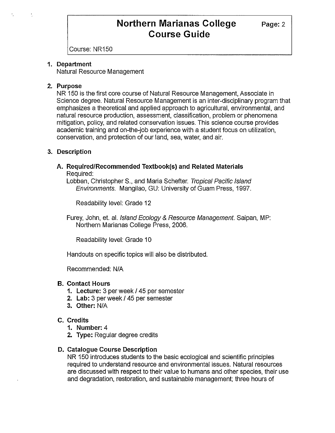Course: NR150

#### **1. Department**

Natural Resource Management

### **2. Purpose**

NR 150 is the first core course of Natural Resource Management, Associate in Science degree. Natural Resource Management is an inter-disciplinary program that emphasizes a theoretical and applied approach to agricultural, environmental, and natural resource production, assessment, classification, problem or phenomena mitigation, policy, and related conservation issues. This science course provides academic training and on-the-job experience with a student focus on utilization, conservation, and protection of our land, sea, water, and air.

### **3. Description**

#### **A. Required/Recommended Textbook(s) and Related Materials**  Required:

Lobban, Christopher S., and Maria Schefter. Tropical Pacific Island Environments. Mangilao, GU: University of Guam Press, 1997.

Readability level: Grade 12

Furey, John, et. al. Island Ecology & Resource Management. Saipan, MP: Northern Marianas College Press, 2006.

Readability level: Grade 10

Handouts on specific topics will also be distributed.

Recommended: N/A

#### **B. Contact Hours**

- **1. Lecture:** 3 per week/ 45 per semester
- **2. Lab:** 3 per week *I* 45 per semester
- **3. Other:** N/A

#### **C. Credits**

- **1. Number:** 4
- **2. Type:** Regular degree credits

#### **D. Catalogue Course Description**

NR 150 introduces students to the basic ecological and scientific principles required to understand resource and environmental issues. Natural resources are discussed with respect to their value to humans and other species, their use and degradation, restoration, and sustainable management; three hours of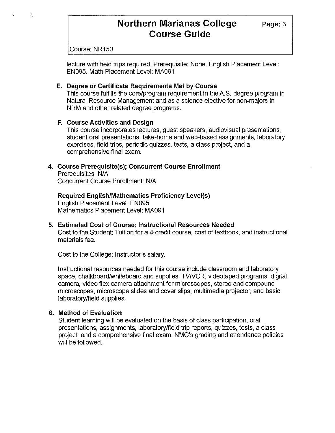Course: NR150

lecture with field trips required. Prerequisite: None. English Placement Level: EN095. Math Placement Level: MA091

#### **E. Degree or Certificate Requirements Met by Course**

This course fulfills the core/program requirement in the A.S. degree program in Natural Resource Management and as a science elective for non-majors in NRM and other related degree programs.

#### **F. Course Activities and Design**

This course incorporates lectures, guest speakers, audiovisual presentations, student oral presentations, take-home and web-based assignments, laboratory exercises, field trips, periodic quizzes, tests, a class project, and a comprehensive final exam.

#### **4. Course Prerequisite(s); Concurrent Course Enrollment**

Prerequisites: N/A Concurrent Course Enrollment: N/A

#### **Required English/Mathematics Proficiency Level(s)**

English Placement Level: EN095 Mathematics Placement Level: MA091

# **5. Estimated Cost of Course; Instructional Resources Needed**

Cost to the Student: Tuition for a 4-credit course, cost of textbook, and instructional materials fee.

Cost to the College: Instructor's salary.

Instructional resources needed for this course include classroom and laboratory space, chalkboard/whiteboard and supplies, TVNCR, videotaped programs, digital camera, video flex camera attachment for microscopes, stereo and compound microscopes, microscope slides and cover slips, multimedia projector, and basic laboratory/field supplies.

#### **6. Method of Evaluation**

Student learning will be evaluated on the basis of class participation, oral presentations, assignments, laboratory/field trip reports, quizzes, tests, a class project, and a comprehensive final exam. NMC's grading and attendance policies will be followed.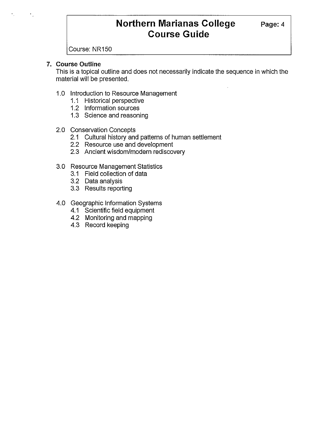Course: NR150

### **7. Course Outline**

This is a topical outline and does not necessarily indicate the sequence in which the material will be presented.

- 1.0 Introduction to Resource Management
	- 1.1 Historical perspective
	- 1.2 Information sources
	- 1.3 Science and reasoning
- 2.0 Conservation Concepts
	- 2.1 Cultural history and patterns of human settlement
	- 2.2 Resource use and development
	- 2.3 Ancient wisdom/modern rediscovery
- 3.0 Resource Management Statistics
	- 3.1 Field collection of data
	- 3.2 Data analysis
	- 3.3 Results reporting
- 4.0 Geographic Information Systems
	- 4.1 Scientific field equipment
	- 4.2 Monitoring and mapping
	- 4.3 Record keeping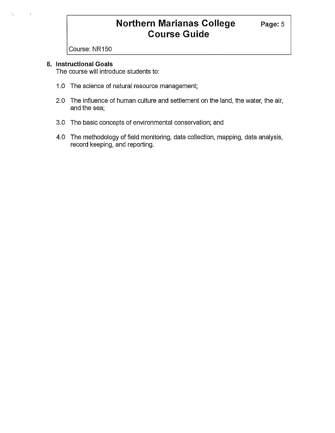Course: NR150

### **8. Instructional Goals**

The course will introduce students to:

- 1.0 The science of natural resource management;
- 2.0 The influence of human culture and settlement on the land, the water, the air, and the sea;
- 3.0 The basic concepts of environmental conservation; and
- 4.0 The methodology of field monitoring, data collection, mapping, data analysis, record keeping, and reporting.